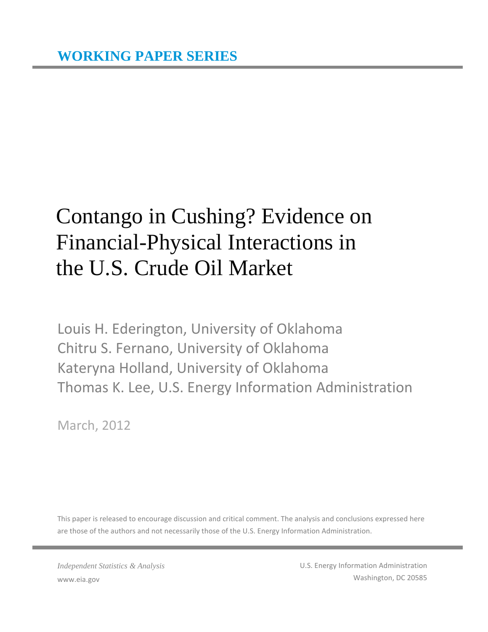## Contango in Cushing? Evidence on Financial-Physical Interactions in the U.S. Crude Oil Market

Louis H. Ederington, University of Oklahoma Chitru S. Fernano, University of Oklahoma Kateryna Holland, University of Oklahoma Thomas K. Lee, U.S. Energy Information Administration

March, 2012

This paper is released to encourage discussion and critical comment. The analysis and conclusions expressed here are those of the authors and not necessarily those of the U.S. Energy Information Administration.

*Independent Statistics & Analysis* www.eia.gov

U.S. Energy Information Administration Washington, DC 20585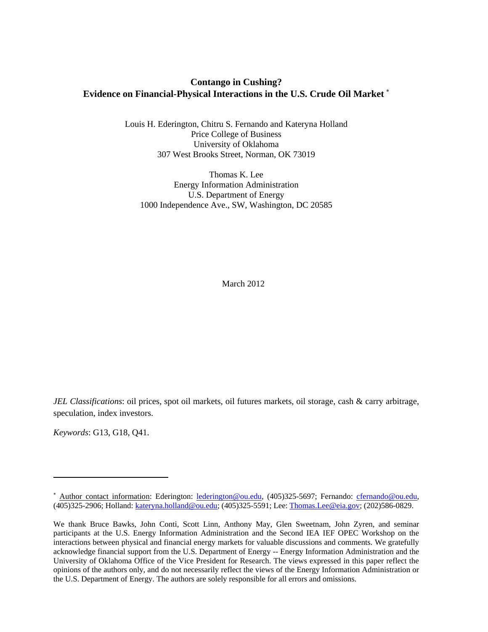## **Contango in Cushing? Evidence on Financial-Physical Interactions in the U.S. Crude Oil Market** [∗](#page-1-0)

Louis H. Ederington, Chitru S. Fernando and Kateryna Holland Price College of Business University of Oklahoma 307 West Brooks Street, Norman, OK 73019

Thomas K. Lee Energy Information Administration U.S. Department of Energy 1000 Independence Ave., SW, Washington, DC 20585

March 2012

*JEL Classifications*: oil prices, spot oil markets, oil futures markets, oil storage, cash & carry arbitrage, speculation, index investors.

*Keywords*: G13, G18, Q41.

.<br>-

<span id="page-1-0"></span><sup>∗</sup> Author contact information: Ederington: [lederington@ou.edu,](mailto:lederington@ou.edu) (405)325-5697; Fernando: [cfernando@ou.edu,](mailto:cfernando@ou.edu) (405)325-2906; Holland: [kateryna.holland@ou.edu;](mailto:kateryna.holland@ou.edu) (405)325-5591; Lee: [Thomas.Lee@eia.gov;](mailto:Thomas.Lee@eia.gov) (202)586-0829.

We thank Bruce Bawks, John Conti, Scott Linn, Anthony May, Glen Sweetnam, John Zyren, and seminar participants at the U.S. Energy Information Administration and the Second IEA IEF OPEC Workshop on the interactions between physical and financial energy markets for valuable discussions and comments. We gratefully acknowledge financial support from the U.S. Department of Energy -- Energy Information Administration and the University of Oklahoma Office of the Vice President for Research. The views expressed in this paper reflect the opinions of the authors only, and do not necessarily reflect the views of the Energy Information Administration or the U.S. Department of Energy. The authors are solely responsible for all errors and omissions.